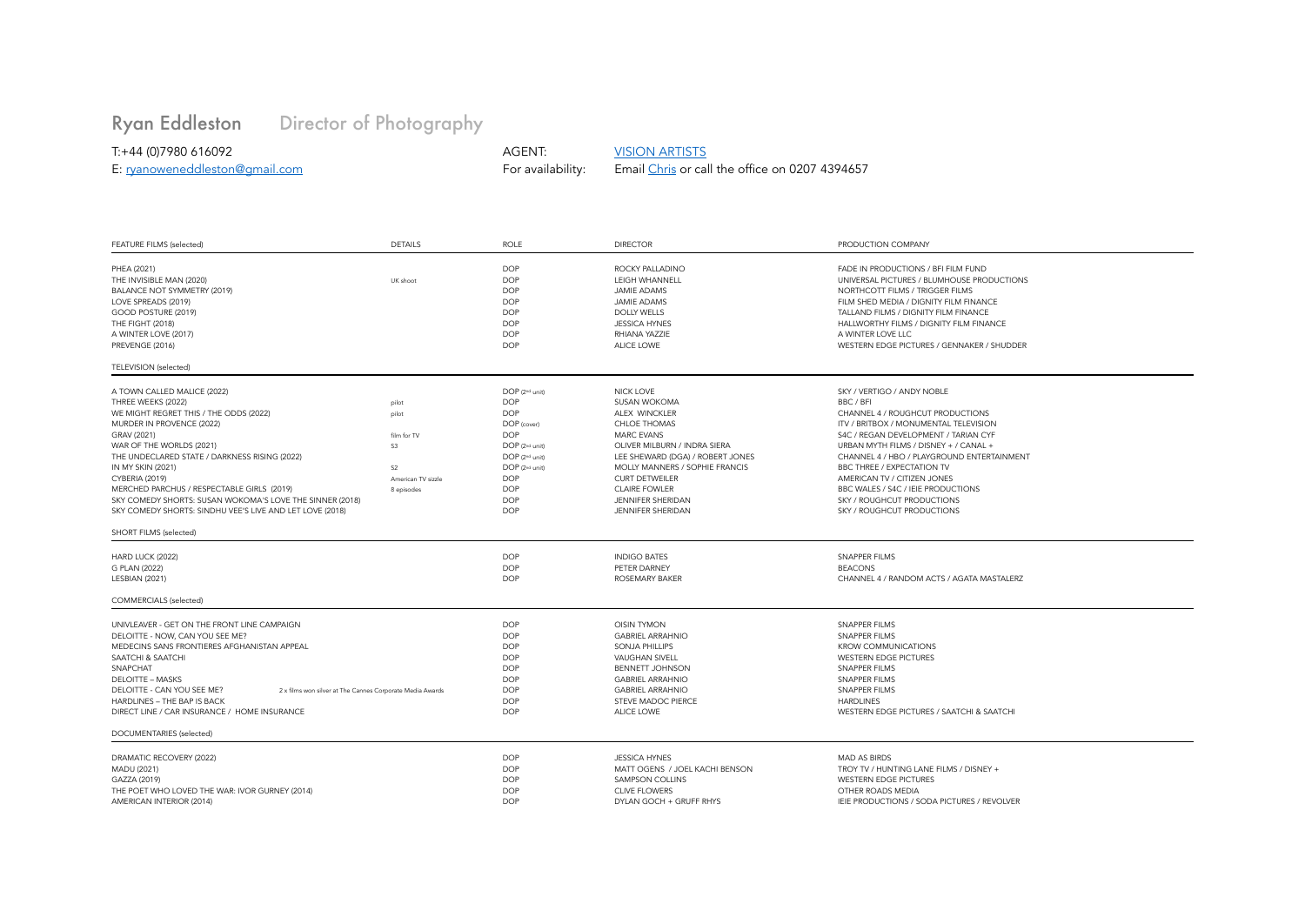## [Ryan Eddleston](http://www.ryaneddleston.com/) Director of Photography

T:+44 (0)7980 616092 AGENT: [VISION ARTISTS](https://www.visionartists.co.uk/) Email [Chris](mailto:chris@visionartists.co.uk?subject=Ryan%20Eddleston%20-%20DOP%20-%20availability%20check) or call the office on [0207 4394657](tel:02074394657)

| FEATURE FILMS (selected)                                                                                                                                                                                                                                                                                                                                                                                                                                    | <b>DETAILS</b>                                                                            | ROLE                                                                                                                                                                                                          | <b>DIRECTOR</b>                                                                                                                                                                                                                                                                                                            | PRODUCTION COMPANY                                                                                                                                                                                                                                                                                                                                                                                                        |  |
|-------------------------------------------------------------------------------------------------------------------------------------------------------------------------------------------------------------------------------------------------------------------------------------------------------------------------------------------------------------------------------------------------------------------------------------------------------------|-------------------------------------------------------------------------------------------|---------------------------------------------------------------------------------------------------------------------------------------------------------------------------------------------------------------|----------------------------------------------------------------------------------------------------------------------------------------------------------------------------------------------------------------------------------------------------------------------------------------------------------------------------|---------------------------------------------------------------------------------------------------------------------------------------------------------------------------------------------------------------------------------------------------------------------------------------------------------------------------------------------------------------------------------------------------------------------------|--|
| PHEA (2021)<br>THE INVISIBLE MAN (2020)<br>BALANCE NOT SYMMETRY (2019)<br>LOVE SPREADS (2019)<br>GOOD POSTURE (2019)<br>THE FIGHT (2018)<br>A WINTER LOVE (2017)<br>PREVENGE (2016)                                                                                                                                                                                                                                                                         | UK shoot                                                                                  | <b>DOP</b><br><b>DOP</b><br><b>DOP</b><br><b>DOP</b><br><b>DOP</b><br><b>DOP</b><br><b>DOP</b><br><b>DOP</b>                                                                                                  | ROCKY PALLADINO<br><b>I FIGH WHANNELL</b><br><b>JAMIE ADAMS</b><br><b>JAMIE ADAMS</b><br><b>DOLLY WELLS</b><br><b>JESSICA HYNES</b><br>RHIANA YAZZIE<br>ALICE LOWE                                                                                                                                                         | FADE IN PRODUCTIONS / BFI FILM FUND<br>UNIVERSAL PICTURES / BLUMHOUSE PRODUCTIONS<br>NORTHCOTT FILMS / TRIGGER FILMS<br>FILM SHED MEDIA / DIGNITY FILM FINANCE<br>TALLAND FILMS / DIGNITY FILM FINANCE<br>HALLWORTHY FILMS / DIGNITY FILM FINANCE<br>A WINTER LOVE LLC<br>WESTERN EDGE PICTURES / GENNAKER / SHUDDER                                                                                                      |  |
| TELEVISION (selected)                                                                                                                                                                                                                                                                                                                                                                                                                                       |                                                                                           |                                                                                                                                                                                                               |                                                                                                                                                                                                                                                                                                                            |                                                                                                                                                                                                                                                                                                                                                                                                                           |  |
| A TOWN CALLED MALICE (2022)<br>THREE WEEKS (2022)<br>WE MIGHT REGRET THIS / THE ODDS (2022)<br>MURDER IN PROVENCE (2022)<br>GRAV (2021)<br>WAR OF THE WORLDS (2021)<br>THE UNDECLARED STATE / DARKNESS RISING (2022)<br>IN MY SKIN (2021)<br>CYBERIA (2019)<br>MERCHED PARCHUS / RESPECTABLE GIRLS (2019)<br>SKY COMEDY SHORTS: SUSAN WOKOMA'S LOVE THE SINNER (2018)<br>SKY COMEDY SHORTS: SINDHU VEE'S LIVE AND LET LOVE (2018)<br>SHORT FILMS (selected) | pilot<br>pilot<br>film for TV<br>S3<br>S <sub>2</sub><br>American TV sizzle<br>8 episodes | DOP (2 <sup>nd</sup> unit)<br><b>DOP</b><br><b>DOP</b><br>DOP (cover)<br><b>DOP</b><br>DOP (2nd unit)<br>DOP (2nd unit)<br>DOP (2 <sup>nd</sup> unit)<br><b>DOP</b><br><b>DOP</b><br><b>DOP</b><br><b>DOP</b> | <b>NICK LOVE</b><br><b>SUSAN WOKOMA</b><br>ALEX WINCKLER<br><b>CHLOE THOMAS</b><br><b>MARC EVANS</b><br>OLIVER MILBURN / INDRA SIERA<br>LEE SHEWARD (DGA) / ROBERT JONES<br><b>MOLLY MANNERS / SOPHIE FRANCIS</b><br><b>CURT DETWEILER</b><br><b>CLAIRE FOWLER</b><br><b>JENNIFER SHERIDAN</b><br><b>JENNIFER SHERIDAN</b> | SKY / VERTIGO / ANDY NOBLE<br>BBC / BFI<br>CHANNEL 4 / ROUGHCUT PRODUCTIONS<br>ITV / BRITBOX / MONUMENTAL TELEVISION<br>S4C / REGAN DEVELOPMENT / TARIAN CYF<br>URBAN MYTH FILMS / DISNEY + / CANAL +<br>CHANNEL 4 / HBO / PLAYGROUND ENTERTAINMENT<br><b>BBC THREE / EXPECTATION TV</b><br>AMERICAN TV / CITIZEN JONES<br>BBC WALES / S4C / IEIE PRODUCTIONS<br>SKY / ROUGHCUT PRODUCTIONS<br>SKY / ROUGHCUT PRODUCTIONS |  |
| HARD LUCK (2022)<br>G PLAN (2022)<br>LESBIAN (2021)<br><b>COMMERCIALS</b> (selected)                                                                                                                                                                                                                                                                                                                                                                        |                                                                                           | <b>DOP</b><br><b>DOP</b><br><b>DOP</b>                                                                                                                                                                        | <b>INDIGO BATES</b><br>PETER DARNEY<br><b>ROSEMARY BAKER</b>                                                                                                                                                                                                                                                               | <b>SNAPPER FILMS</b><br><b>BEACONS</b><br>CHANNEL 4 / RANDOM ACTS / AGATA MASTALERZ                                                                                                                                                                                                                                                                                                                                       |  |
| UNIVLEAVER - GET ON THE FRONT LINE CAMPAIGN<br>DELOITTE - NOW, CAN YOU SEE ME?<br>MEDECINS SANS FRONTIERES AFGHANISTAN APPEAL<br>SAATCHI & SAATCHI<br>SNAPCHAT<br><b>DELOITTE - MASKS</b><br>DELOITTE - CAN YOU SEE ME?<br>2 x films won silver at The Cannes Corporate Media Awards<br>HARDLINES - THE BAP IS BACK<br>DIRECT LINE / CAR INSURANCE / HOME INSURANCE<br>DOCUMENTARIES (selected)                                                             |                                                                                           | <b>DOP</b><br><b>DOP</b><br><b>DOP</b><br><b>DOP</b><br><b>DOP</b><br><b>DOP</b><br><b>DOP</b><br><b>DOP</b><br><b>DOP</b>                                                                                    | <b>OISIN TYMON</b><br><b>GABRIEL ARRAHNIO</b><br><b>SONJA PHILLIPS</b><br><b>VAUGHAN SIVELL</b><br><b>BENNETT JOHNSON</b><br><b>GABRIEL ARRAHNIO</b><br><b>GABRIEL ARRAHNIO</b><br><b>STEVE MADOC PIERCE</b><br>ALICE LOWE                                                                                                 | <b>SNAPPER FILMS</b><br><b>SNAPPER FILMS</b><br><b>KROW COMMUNICATIONS</b><br><b>WESTERN EDGE PICTURES</b><br><b>SNAPPER FILMS</b><br><b>SNAPPER FILMS</b><br><b>SNAPPER FILMS</b><br><b>HARDLINES</b><br>WESTERN EDGE PICTURES / SAATCHI & SAATCHI                                                                                                                                                                       |  |
| DRAMATIC RECOVERY (2022)<br>MADU (2021)<br>GAZZA (2019)<br>THE POET WHO LOVED THE WAR: IVOR GURNEY (2014)<br>AMERICAN INTERIOR (2014)                                                                                                                                                                                                                                                                                                                       |                                                                                           | <b>DOP</b><br><b>DOP</b><br><b>DOP</b><br><b>DOP</b><br><b>DOP</b>                                                                                                                                            | <b>JESSICA HYNES</b><br>MATT OGENS / JOEL KACHI BENSON<br>SAMPSON COLLINS<br>CLIVE ELOWERS<br>DYLAN GOCH + GRUFF RHYS                                                                                                                                                                                                      | <b>MAD AS BIRDS</b><br>TROY TV / HUNTING LANE FILMS / DISNEY +<br><b>WESTERN EDGE PICTURES</b><br>OTHER ROADS MEDIA<br>IEIE PRODUCTIONS / SODA PICTURES / REVOLVER                                                                                                                                                                                                                                                        |  |